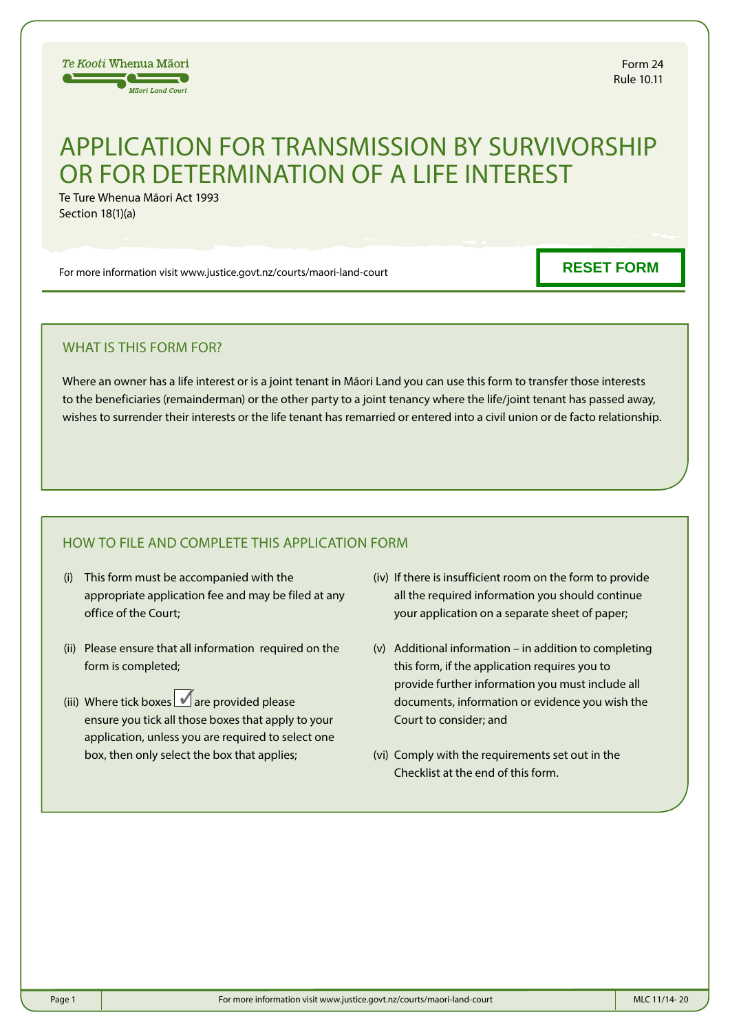

# APPLICATION FOR TRANSMISSION BY SURVIVORSHIP OR FOR DETERMINATION OF A LIFE INTEREST

Te Ture Whenua Māori Act 1993 Section 18(1)(a)

For more information visit www.justice.govt.nz/courts/maori-land-court

**RESET FORM**

# WHAT IS THIS FORM FOR?

Where an owner has a life interest or is a joint tenant in Māori Land you can use this form to transfer those interests to the beneficiaries (remainderman) or the other party to a joint tenancy where the life/joint tenant has passed away, wishes to surrender their interests or the life tenant has remarried or entered into a civil union or de facto relationship.

# HOW TO FILE AND COMPLETE THIS APPLICATION FORM

- (i) This form must be accompanied with the appropriate application fee and may be filed at any office of the Court;
- (ii) Please ensure that all information required on the form is completed;
- (iii) Where tick boxes  $\blacksquare$  are provided please ensure you tick all those boxes that apply to your application, unless you are required to select one box, then only select the box that applies;
- (iv) If there is insufficient room on the form to provide all the required information you should continue your application on a separate sheet of paper;
- (v) Additional information in addition to completing this form, if the application requires you to provide further information you must include all documents, information or evidence you wish the Court to consider; and
- (vi) Comply with the requirements set out in the Checklist at the end of this form.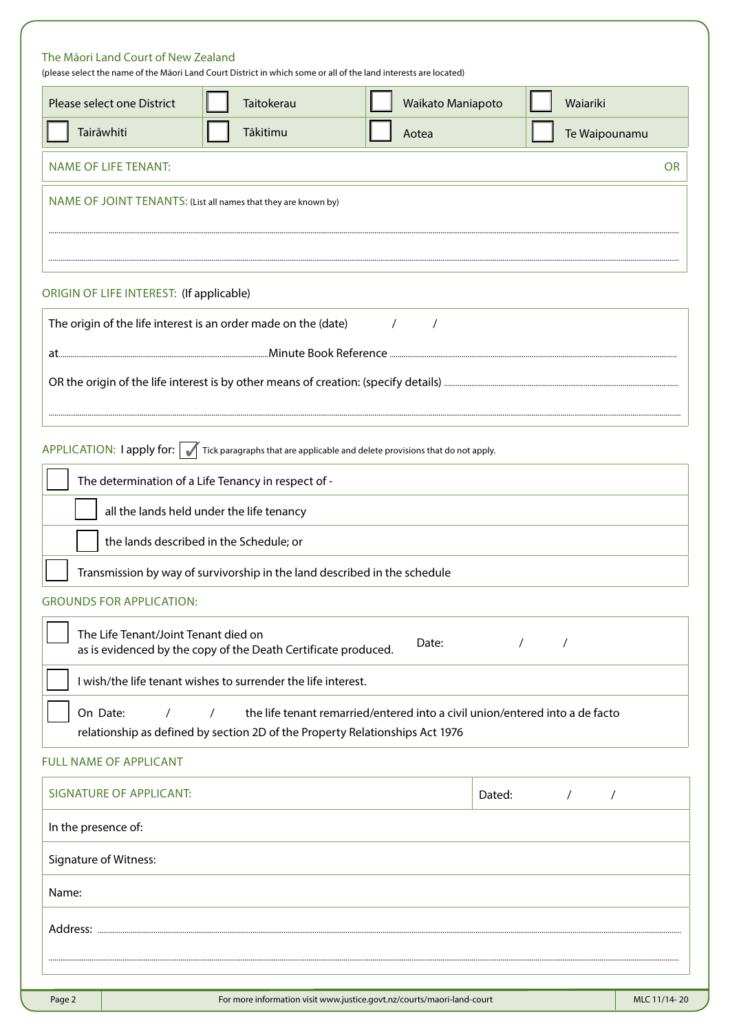| The Māori Land Court of New Zealand<br>Please select one District | (please select the name of the Māori Land Court District in which some or all of the land interests are located)<br><b>Taitokerau</b> | Waikato Maniapoto           | Waiariki      |
|-------------------------------------------------------------------|---------------------------------------------------------------------------------------------------------------------------------------|-----------------------------|---------------|
| Tairāwhiti                                                        | Tākitimu                                                                                                                              | Aotea                       | Te Waipounamu |
| <b>NAME OF LIFE TENANT:</b>                                       |                                                                                                                                       |                             | <b>OR</b>     |
|                                                                   | NAME OF JOINT TENANTS: (List all names that they are known by)                                                                        |                             |               |
|                                                                   |                                                                                                                                       |                             |               |
| ORIGIN OF LIFE INTEREST: (If applicable)                          |                                                                                                                                       |                             |               |
|                                                                   | The origin of the life interest is an order made on the (date)                                                                        | $\frac{1}{2}$ $\frac{1}{2}$ |               |
|                                                                   |                                                                                                                                       |                             |               |
|                                                                   |                                                                                                                                       |                             |               |
|                                                                   | APPLICATION: $\Box$ apply for: $\Box$ Tick paragraphs that are applicable and delete provisions that do not apply.                    |                             |               |
|                                                                   | The determination of a Life Tenancy in respect of -                                                                                   |                             |               |
|                                                                   | all the lands held under the life tenancy                                                                                             |                             |               |
|                                                                   | the lands described in the Schedule; or                                                                                               |                             |               |
|                                                                   | Transmission by way of survivorship in the land described in the schedule                                                             |                             |               |
| <b>GROUNDS FOR APPLICATION:</b>                                   |                                                                                                                                       |                             |               |
| The Life Tenant/Joint Tenant died on                              |                                                                                                                                       |                             |               |

| The Life Tenant/Joint Tenant died on |  | as is evidenced by the copy of the Death Certificate produced.                 | Date: |  |  |
|--------------------------------------|--|--------------------------------------------------------------------------------|-------|--|--|
|                                      |  | I wish/the life tenant wishes to surrender the life interest.                  |       |  |  |
| On Date:                             |  | / the life tenant remarried/entered into a civil union/entered into a de facto |       |  |  |
|                                      |  | relationship as defined by section 2D of the Property Relationships Act 1976   |       |  |  |

## FULL NAME OF APPLICANT

| <b>SIGNATURE OF APPLICANT:</b> | Dated: |  |
|--------------------------------|--------|--|
| In the presence of:            |        |  |
| Signature of Witness:          |        |  |
| Name:                          |        |  |
| Address:                       |        |  |
|                                |        |  |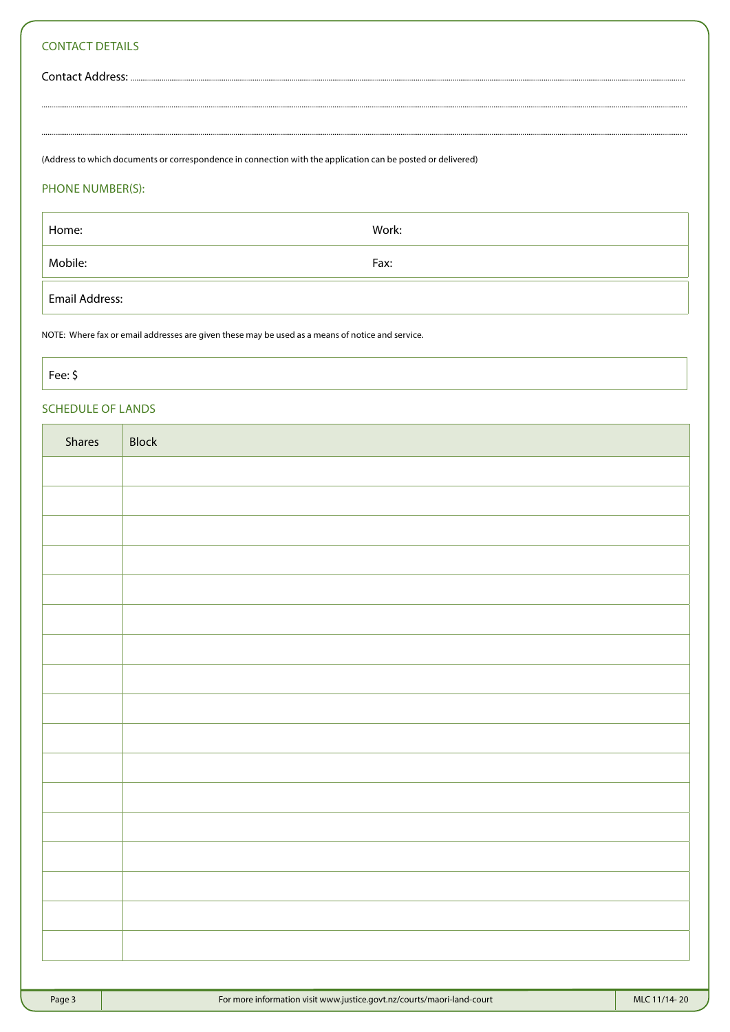# **CONTACT DETAILS**

Contact Address: .....

(Address to which documents or correspondence in connection with the application can be posted or delivered)

### PHONE NUMBER(S):

| Home:          | Work: |
|----------------|-------|
| Mobile:        | Fax:  |
| Email Address: |       |

NOTE: Where fax or email addresses are given these may be used as a means of notice and service.

Fee: \$

# **SCHEDULE OF LANDS**

| Shares | Block |
|--------|-------|
|        |       |
|        |       |
|        |       |
|        |       |
|        |       |
|        |       |
|        |       |
|        |       |
|        |       |
|        |       |
|        |       |
|        |       |
|        |       |
|        |       |
|        |       |
|        |       |
|        |       |